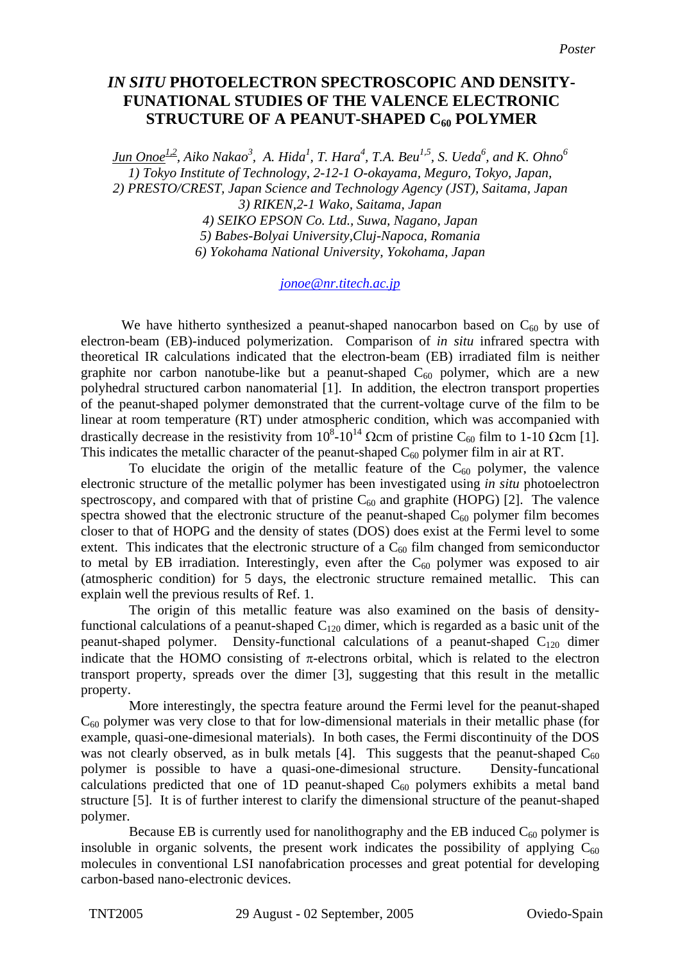## *IN SITU* **PHOTOELECTRON SPECTROSCOPIC AND DENSITY-FUNATIONAL STUDIES OF THE VALENCE ELECTRONIC STRUCTURE OF A PEANUT-SHAPED C60 POLYMER**

*Jun Onoe1,2, Aiko Nakao3 , A. Hida1 , T. Hara4 , T.A. Beu1,5, S. Ueda6 , and K. Ohno6 1) Tokyo Institute of Technology, 2-12-1 O-okayama, Meguro, Tokyo, Japan, 2) PRESTO/CREST, Japan Science and Technology Agency (JST), Saitama, Japan 3) RIKEN,2-1 Wako, Saitama, Japan 4) SEIKO EPSON Co. Ltd., Suwa, Nagano, Japan 5) Babes-Bolyai University,Cluj-Napoca, Romania 6) Yokohama National University, Yokohama, Japan* 

## *[jonoe@nr.titech.ac.jp](mailto:jonoe@nr.titech.ac.jp)*

We have hitherto synthesized a peanut-shaped nanocarbon based on  $C_{60}$  by use of electron-beam (EB)-induced polymerization. Comparison of *in situ* infrared spectra with theoretical IR calculations indicated that the electron-beam (EB) irradiated film is neither graphite nor carbon nanotube-like but a peanut-shaped  $C_{60}$  polymer, which are a new polyhedral structured carbon nanomaterial [1]. In addition, the electron transport properties of the peanut-shaped polymer demonstrated that the current-voltage curve of the film to be linear at room temperature (RT) under atmospheric condition, which was accompanied with drastically decrease in the resistivity from  $10^8$ - $10^{14}$  Ωcm of pristine C<sub>60</sub> film to 1-10 Ωcm [1]. This indicates the metallic character of the peanut-shaped  $C_{60}$  polymer film in air at RT.

To elucidate the origin of the metallic feature of the  $C_{60}$  polymer, the valence electronic structure of the metallic polymer has been investigated using *in situ* photoelectron spectroscopy, and compared with that of pristine  $C_{60}$  and graphite (HOPG) [2]. The valence spectra showed that the electronic structure of the peanut-shaped  $C_{60}$  polymer film becomes closer to that of HOPG and the density of states (DOS) does exist at the Fermi level to some extent. This indicates that the electronic structure of a  $C_{60}$  film changed from semiconductor to metal by EB irradiation. Interestingly, even after the  $C_{60}$  polymer was exposed to air (atmospheric condition) for 5 days, the electronic structure remained metallic. This can explain well the previous results of Ref. 1.

The origin of this metallic feature was also examined on the basis of densityfunctional calculations of a peanut-shaped  $C_{120}$  dimer, which is regarded as a basic unit of the peanut-shaped polymer. Density-functional calculations of a peanut-shaped  $C_{120}$  dimer indicate that the HOMO consisting of  $\pi$ -electrons orbital, which is related to the electron transport property, spreads over the dimer [3], suggesting that this result in the metallic property.

More interestingly, the spectra feature around the Fermi level for the peanut-shaped  $C_{60}$  polymer was very close to that for low-dimensional materials in their metallic phase (for example, quasi-one-dimesional materials). In both cases, the Fermi discontinuity of the DOS was not clearly observed, as in bulk metals [4]. This suggests that the peanut-shaped  $C_{60}$ polymer is possible to have a quasi-one-dimesional structure. Density-funcational calculations predicted that one of 1D peanut-shaped  $C_{60}$  polymers exhibits a metal band structure [5]. It is of further interest to clarify the dimensional structure of the peanut-shaped polymer.

Because EB is currently used for nanolithography and the EB induced  $C_{60}$  polymer is insoluble in organic solvents, the present work indicates the possibility of applying  $C_{60}$ molecules in conventional LSI nanofabrication processes and great potential for developing carbon-based nano-electronic devices.